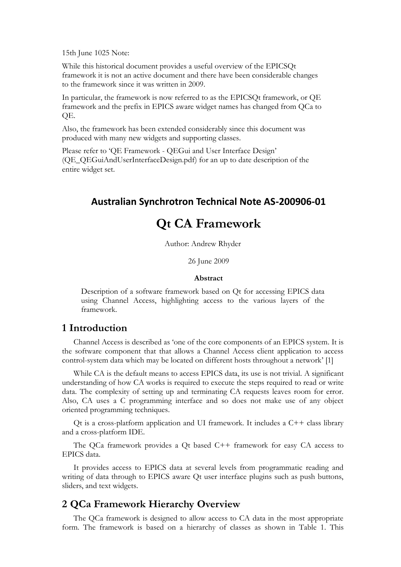15th June 1025 Note:

While this historical document provides a useful overview of the EPICSQt framework it is not an active document and there have been considerable changes to the framework since it was written in 2009.

In particular, the framework is now referred to as the EPICSQt framework, or QE framework and the prefix in EPICS aware widget names has changed from QCa to QE.

Also, the framework has been extended considerably since this document was produced with many new widgets and supporting classes.

Please refer to 'QE Framework - QEGui and User Interface Design' (QE\_QEGuiAndUserInterfaceDesign.pdf) for an up to date description of the entire widget set.

# **Australian Synchrotron Technical Note AS-200906-01**

# **Qt CA Framework**

Author: Andrew Rhyder

26 June 2009

#### **Abstract**

Description of a software framework based on Qt for accessing EPICS data using Channel Access, highlighting access to the various layers of the framework.

## **1 Introduction**

Channel Access is described as 'one of the core components of an EPICS system. It is the software component that that allows a Channel Access client application to access control-system data which may be located on different hosts throughout a network' [1]

While CA is the default means to access EPICS data, its use is not trivial. A significant understanding of how CA works is required to execute the steps required to read or write data. The complexity of setting up and terminating CA requests leaves room for error. Also, CA uses a C programming interface and so does not make use of any object oriented programming techniques.

Qt is a cross-platform application and UI framework. It includes a C++ class library and a cross-platform IDE.

The QCa framework provides a Qt based C++ framework for easy CA access to EPICS data.

It provides access to EPICS data at several levels from programmatic reading and writing of data through to EPICS aware Qt user interface plugins such as push buttons, sliders, and text widgets.

## **2 QCa Framework Hierarchy Overview**

The QCa framework is designed to allow access to CA data in the most appropriate form. The framework is based on a hierarchy of classes as shown in [Table 1.](#page-1-0) This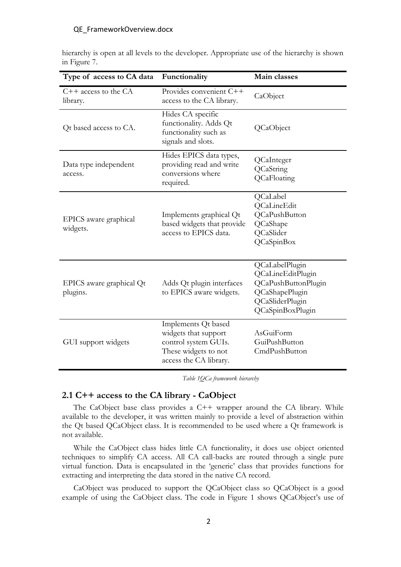#### QE FrameworkOverview.docx

| Type of access to CA data            | Functionality                                                                                                         | Main classes                                                                                                               |
|--------------------------------------|-----------------------------------------------------------------------------------------------------------------------|----------------------------------------------------------------------------------------------------------------------------|
| $C++$ access to the $CA$<br>library. | Provides convenient C++<br>access to the CA library.                                                                  | CaObject                                                                                                                   |
| Qt based access to CA.               | Hides CA specific<br>functionality. Adds Qt<br>functionality such as<br>signals and slots.                            | QCaObject                                                                                                                  |
| Data type independent<br>access.     | Hides EPICS data types,<br>providing read and write<br>conversions where<br>required.                                 | QCaInteger<br>QCaString<br>QCaFloating                                                                                     |
| EPICS aware graphical<br>widgets.    | Implements graphical Qt<br>based widgets that provide<br>access to EPICS data.                                        | QCaLabel<br>QCaLineEdit<br>QCaPushButton<br>QCaShape<br>QCaSlider<br>QCaSpinBox                                            |
| EPICS aware graphical Qt<br>plugins. | Adds Qt plugin interfaces<br>to EPICS aware widgets.                                                                  | QCaLabelPlugin<br>QCaLineEditPlugin<br>QCaPushButtonPlugin<br>QCaShapePlugin<br><b>QCaSliderPlugin</b><br>QCaSpinBoxPlugin |
| GUI support widgets                  | Implements Qt based<br>widgets that support<br>control system GUIs.<br>These widgets to not<br>access the CA library. | AsGuiForm<br>GuiPushButton<br>CmdPushButton                                                                                |

hierarchy is open at all levels to the developer. Appropriate use of the hierarchy is shown in [Figure](#page-7-0) 7.

*Table 1QCa framework hierarchy*

### <span id="page-1-0"></span>**2.1 C++ access to the CA library - CaObject**

The CaObject base class provides a C++ wrapper around the CA library. While available to the developer, it was written mainly to provide a level of abstraction within the Qt based QCaObject class. It is recommended to be used where a Qt framework is not available.

While the CaObject class hides little CA functionality, it does use object oriented techniques to simplify CA access. All CA call-backs are routed through a single pure virtual function. Data is encapsulated in the 'generic' class that provides functions for extracting and interpreting the data stored in the native CA record.

CaObject was produced to support the QCaObject class so QCaObject is a good example of using the CaObject class. The code in [Figure 1](#page-2-0) shows QCaObject's use of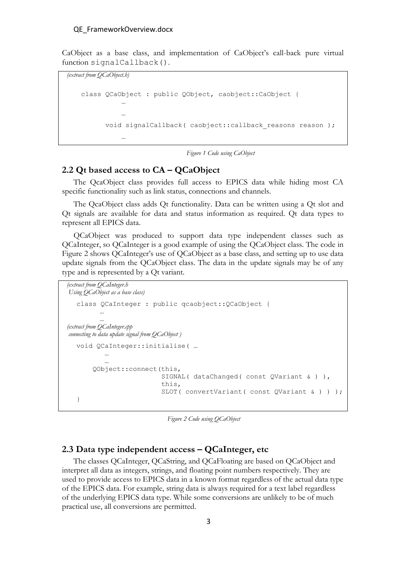CaObject as a base class, and implementation of CaObject's call-back pure virtual function signalCallback().

```
(extract from QCaObject.h)
```
…

```
class QCaObject : public QObject, caobject::CaObject {
 …
 …
     void signalCallback( caobject::callback reasons reason );
```
*Figure 1 Code using CaObject*

### <span id="page-2-0"></span>**2.2 Qt based access to CA – QCaObject**

The QcaObject class provides full access to EPICS data while hiding most CA specific functionality such as link status, connections and channels.

The QcaObject class adds Qt functionality. Data can be written using a Qt slot and Qt signals are available for data and status information as required. Qt data types to represent all EPICS data.

QCaObject was produced to support data type independent classes such as QCaInteger, so QCaInteger is a good example of using the QCaObject class. The code in [Figure 2](#page-2-1) shows QCaInteger's use of QCaObject as a base class, and setting up to use data update signals from the QCaObject class. The data in the update signals may be of any type and is represented by a Qt variant.

```
(extract from QCaInteger.h
```

```
Using QCaObject as a base class)
  class QCaInteger : public qcaobject::QCaObject {
  …
  …
(extract from QCaInteger.cpp
connecting to data update signal from QCaObject )
  void QCaInteger::initialise( … 
   …
   …
        QObject::connect(this,
                          SIGNAL( dataChanged( const QVariant & ) ),
                         this,
                         SLOT( convertVariant( const QVariant & ) ) );
  }
```
*Figure 2 Code using QCaObject*

## <span id="page-2-1"></span>**2.3 Data type independent access – QCaInteger, etc**

The classes QCaInteger, QCaString, and QCaFloating are based on QCaObject and interpret all data as integers, strings, and floating point numbers respectively. They are used to provide access to EPICS data in a known format regardless of the actual data type of the EPICS data. For example, string data is always required for a text label regardless of the underlying EPICS data type. While some conversions are unlikely to be of much practical use, all conversions are permitted.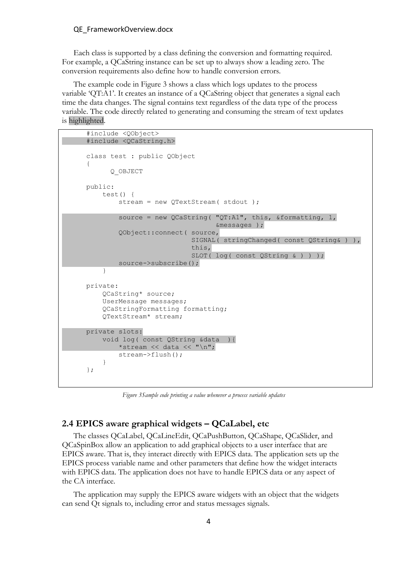#### QE\_FrameworkOverview.docx

Each class is supported by a class defining the conversion and formatting required. For example, a QCaString instance can be set up to always show a leading zero. The conversion requirements also define how to handle conversion errors.

The example code in [Figure 3](#page-3-0) shows a class which logs updates to the process variable 'QT:A1'. It creates an instance of a QCaString object that generates a signal each time the data changes. The signal contains text regardless of the data type of the process variable. The code directly related to generating and consuming the stream of text updates is highlighted.

```
#include <QObject>
#include <QCaString.h>
class test : public QObject
{
       Q_OBJECT
public:
     test() {
        stream = new QTextStream( stdout ) ;
        source = new QCaString( "QT:A1", this, &formatting, 1,
                                   &messages );
         QObject::connect( source,
                            SIGNAL( stringChanged( const QString& ) ),
                            this,
                           SLOT( log( const QString & ) ) );
         source->subscribe();
     }
private:
     QCaString* source;
     UserMessage messages;
     QCaStringFormatting formatting;
     QTextStream* stream;
private slots:
     void log( const QString &data ){
        *stream << data << "\n";
         stream->flush();
     }
};
```
*Figure 3Sample code printing a value whenever a process variable updates*

### <span id="page-3-0"></span>**2.4 EPICS aware graphical widgets – QCaLabel, etc**

The classes QCaLabel, QCaLineEdit, QCaPushButton, QCaShape, QCaSlider, and QCaSpinBox allow an application to add graphical objects to a user interface that are EPICS aware. That is, they interact directly with EPICS data. The application sets up the EPICS process variable name and other parameters that define how the widget interacts with EPICS data. The application does not have to handle EPICS data or any aspect of the CA interface.

The application may supply the EPICS aware widgets with an object that the widgets can send Qt signals to, including error and status messages signals.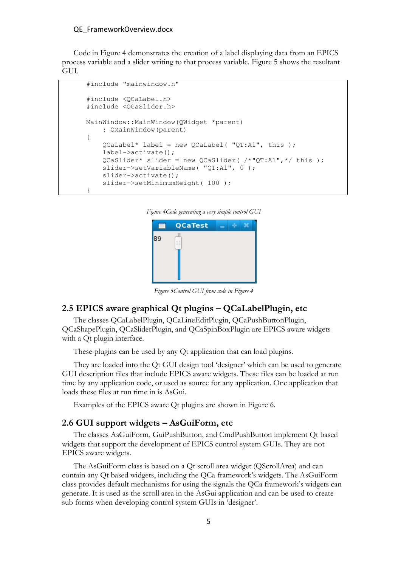#### QE\_FrameworkOverview.docx

Code in [Figure](#page-4-0) 4 demonstrates the creation of a label displaying data from an EPICS process variable and a slider writing to that process variable. [Figure 5](#page-4-1) shows the resultant GUI.

```
#include "mainwindow.h"
#include <QCaLabel.h>
#include <QCaSlider.h>
MainWindow::MainWindow(QWidget *parent)
    : QMainWindow(parent)
{
    QCalabel* label = new QCalabel( "QT:A1", this); label->activate();
    QCaslider* silder = new QCaslider( /*"QT:Al",*/ this );
     slider->setVariableName( "QT:A1", 0 );
     slider->activate();
    slider->setMinimumHeight( 100 );
}
```
<span id="page-4-0"></span>*Figure 4Code generating a very simple control GUI*



*Figure 5Control GUI from code i[n Figure](#page-4-0) 4*

### <span id="page-4-1"></span>**2.5 EPICS aware graphical Qt plugins – QCaLabelPlugin, etc**

The classes QCaLabelPlugin, QCaLineEditPlugin, QCaPushButtonPlugin, QCaShapePlugin, QCaSliderPlugin, and QCaSpinBoxPlugin are EPICS aware widgets with a Qt plugin interface.

These plugins can be used by any Qt application that can load plugins.

They are loaded into the Qt GUI design tool 'designer' which can be used to generate GUI description files that include EPICS aware widgets. These files can be loaded at run time by any application code, or used as source for any application. One application that loads these files at run time in is AsGui.

Examples of the EPICS aware Qt plugins are shown in [Figure 6.](#page-5-0)

#### **2.6 GUI support widgets – AsGuiForm, etc**

The classes AsGuiForm, GuiPushButton, and CmdPushButton implement Qt based widgets that support the development of EPICS control system GUIs. They are not EPICS aware widgets.

The AsGuiForm class is based on a Qt scroll area widget (QScrollArea) and can contain any Qt based widgets, including the QCa framework's widgets. The AsGuiForm class provides default mechanisms for using the signals the QCa framework's widgets can generate. It is used as the scroll area in the AsGui application and can be used to create sub forms when developing control system GUIs in 'designer'.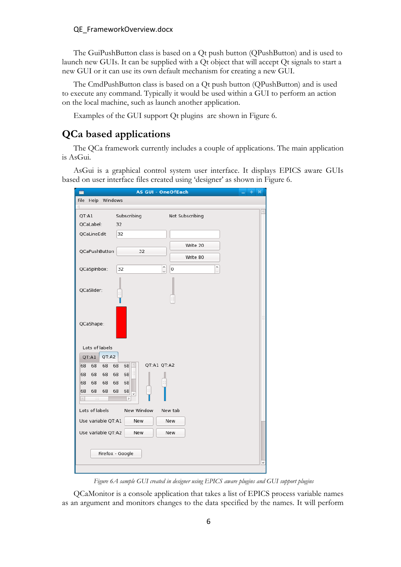#### QE\_FrameworkOverview.docx

The GuiPushButton class is based on a Qt push button (QPushButton) and is used to launch new GUIs. It can be supplied with a Qt object that will accept Qt signals to start a new GUI or it can use its own default mechanism for creating a new GUI.

The CmdPushButton class is based on a Qt push button (QPushButton) and is used to execute any command. Typically it would be used within a GUI to perform an action on the local machine, such as launch another application.

Examples of the GUI support Qt plugins are shown in [Figure 6.](#page-5-0)

# **QCa based applications**

The QCa framework currently includes a couple of applications. The main application is AsGui.

AsGui is a graphical control system user interface. It displays EPICS aware GUIs based on user interface files created using 'designer' as shown in [Figure 6.](#page-5-0)

| <b>AS GUI - OneOfEach</b><br>÷<br>$\boldsymbol{\mathsf{x}}$ |                                              |  |
|-------------------------------------------------------------|----------------------------------------------|--|
| File Help Windows<br>d.                                     |                                              |  |
| QT:A1<br>QCaLabel:                                          | Subscribing<br>Not Subscribing<br>32         |  |
| QCaLineEdit                                                 | 32<br>Write 20                               |  |
| QCaPushButton                                               | 32<br>Write 80<br>۸<br>۸                     |  |
| QCaSpinbox:                                                 | 32<br>$\overline{0}$<br>$\ddot{\phantom{0}}$ |  |
| QCaSlider:                                                  |                                              |  |
| QCaShape:                                                   |                                              |  |
| Lots of labels                                              |                                              |  |
| QT:A2<br>QT:A1                                              | QT:A1 QT:A2                                  |  |
| 68<br>68<br>68<br>68<br>68<br>68                            | 68<br>68<br>68<br>68                         |  |
| 68<br>68<br>68                                              | 68<br>68                                     |  |
| 68<br>68<br>68<br>$\frac{1}{2}$                             | 68<br>68<br>v<br>$\overline{ }$              |  |
| Lots of labels                                              | New Window<br>New tab                        |  |
| Use variable QT:A1                                          | New<br><b>New</b>                            |  |
| Use variable QT:A2                                          | New<br>New                                   |  |
|                                                             |                                              |  |
| Firefox - Google                                            |                                              |  |
|                                                             |                                              |  |

*Figure 6A sample GUI created in designer using EPICS aware plugins and GUI support plugins*

<span id="page-5-0"></span>QCaMonitor is a console application that takes a list of EPICS process variable names as an argument and monitors changes to the data specified by the names. It will perform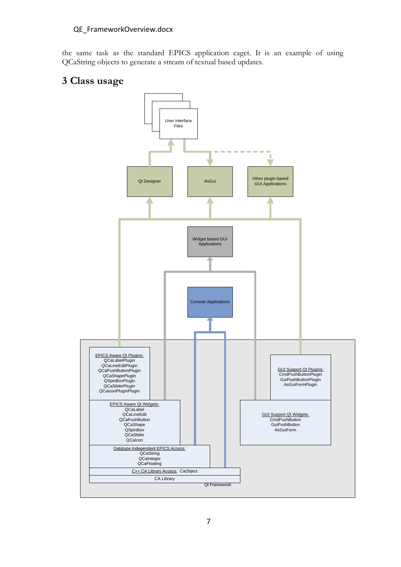the same task as the standard EPICS application caget. It is an example of using QCaString objects to generate a stream of textual based updates.

# **3 Class usage**